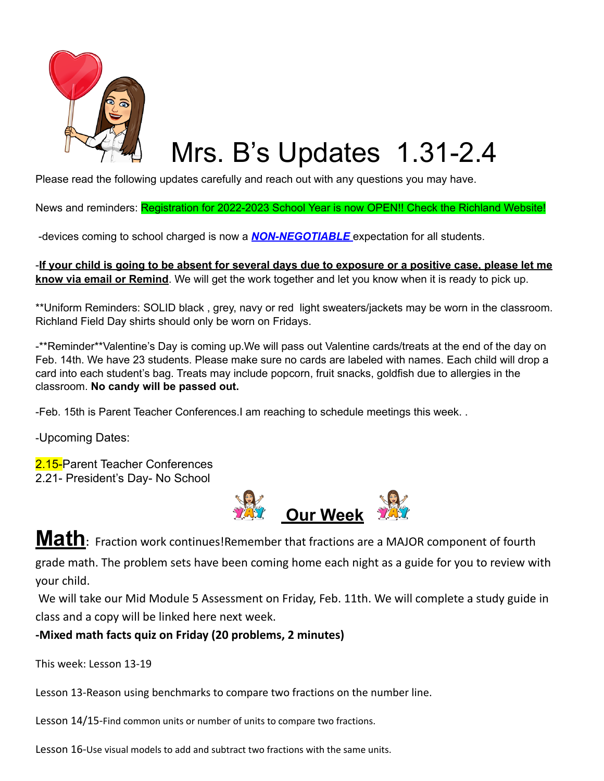

# Mrs. B's Updates 1.31-2.4

Please read the following updates carefully and reach out with any questions you may have.

News and reminders: Registration for 2022-2023 School Year is now OPEN!! Check the Richland Website!

-devices coming to school charged is now a *NON-NEGOTIABLE* expectation for all students.

If your child is going to be absent for several days due to exposure or a positive case, please let me**know via email or Remind**. We will get the work together and let you know when it is ready to pick up.

\*\*Uniform Reminders: SOLID black , grey, navy or red light sweaters/jackets may be worn in the classroom. Richland Field Day shirts should only be worn on Fridays.

-\*\*Reminder\*\*Valentine's Day is coming up.We will pass out Valentine cards/treats at the end of the day on Feb. 14th. We have 23 students. Please make sure no cards are labeled with names. Each child will drop a card into each student's bag. Treats may include popcorn, fruit snacks, goldfish due to allergies in the classroom. **No candy will be passed out.**

-Feb. 15th is Parent Teacher Conferences.I am reaching to schedule meetings this week. .

-Upcoming Dates:

2.15-Parent Teacher Conferences 2.21- President's Day- No School



**Math:** Fraction work continues!Remember that fractions are <sup>a</sup> MAJOR component of fourth

grade math. The problem sets have been coming home each night as a guide for you to review with your child.

We will take our Mid Module 5 Assessment on Friday, Feb. 11th. We will complete a study guide in class and a copy will be linked here next week.

#### **-Mixed math facts quiz on Friday (20 problems, 2 minutes)**

This week: Lesson 13-19

Lesson 13-Reason using benchmarks to compare two fractions on the number line.

Lesson 14/15-Find common units or number of units to compare two fractions.

Lesson 16-Use visual models to add and subtract two fractions with the same units.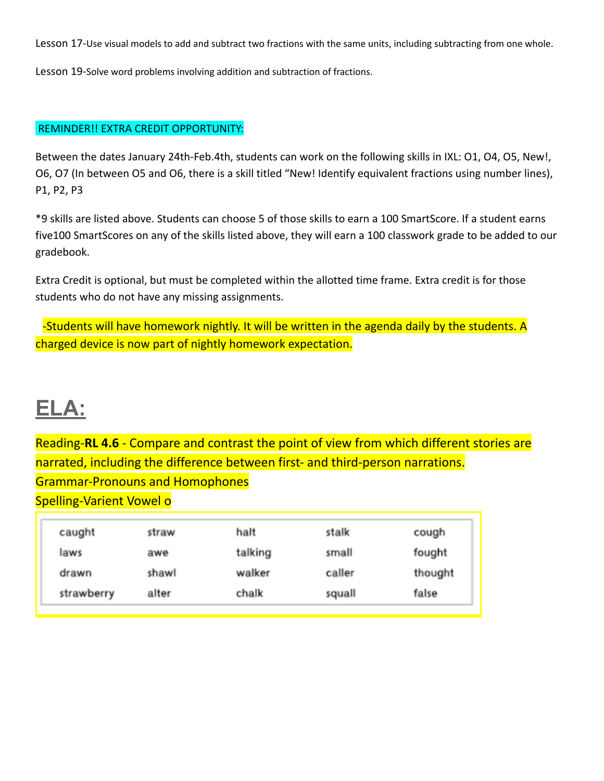Lesson 17-Use visual models to add and subtract two fractions with the same units, including subtracting from one whole.

Lesson 19-Solve word problems involving addition and subtraction of fractions.

#### REMINDER!! EXTRA CREDIT OPPORTUNITY:

Between the dates January 24th-Feb.4th, students can work on the following skills in IXL: 01, 04, 05, New!, O6, O7 (In between O5 and O6, there is a skill titled "New! Identify equivalent fractions using number lines), P1, P2, P3

\*9 skills are listed above. Students can choose 5 of those skills to earn a 100 SmartScore. If a student earns five100 SmartScores on any of the skills listed above, they will earn a 100 classwork grade to be added to our gradebook.

Extra Credit is optional, but must be completed within the allotted time frame. Extra credit is for those students who do not have any missing assignments.

-Students will have homework nightly. It will be written in the agenda daily by the students. A charged device is now part of nightly homework expectation.

# **ELA:**

Reading-**RL 4.6** - Compare and contrast the point of view from which different stories are narrated, including the difference between first- and third-person narrations. Grammar-Pronouns and Homophones Spelling-Varient Vowel o

| caught     | straw | halt    | stalk  | cough   |
|------------|-------|---------|--------|---------|
| laws       | awe   | talking | small  | fought  |
| drawn      | shawl | walker  | caller | thought |
| strawberry | alter | chalk   | squall | false   |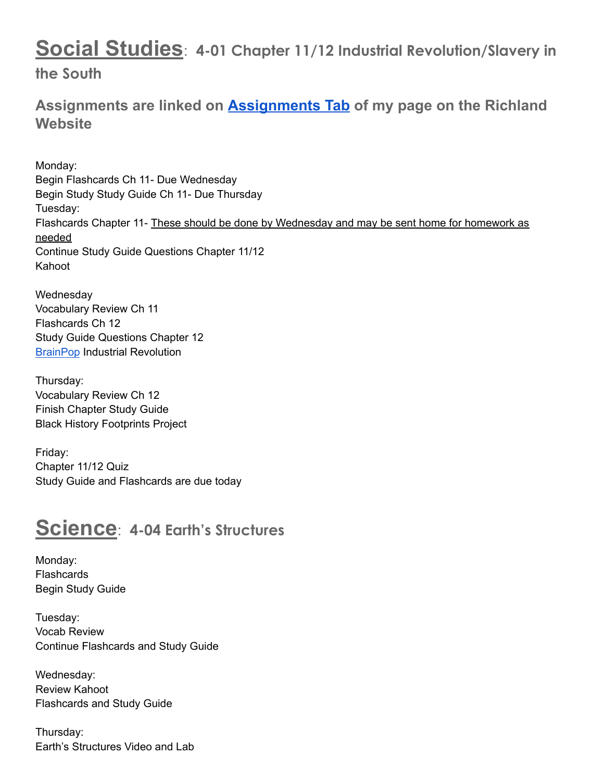## **Social Studies**: **4-01 Chapter 11/12 Industrial Revolution/Slavery in**

#### **the South**

**Assignments are linked on [Assignments Tab](https://schools.scsk12.org/Page/14428) of my page on the Richland Website**

Monday: Begin Flashcards Ch 11- Due Wednesday Begin Study Study Guide Ch 11- Due Thursday Tuesday: Flashcards Chapter 11- These should be done by Wednesday and may be sent home for homework as needed Continue Study Guide Questions Chapter 11/12 Kahoot

**Wednesday** Vocabulary Review Ch 11 Flashcards Ch 12 Study Guide Questions Chapter 12 [BrainPop](https://www.brainpop.com/socialstudies/famoushistoricalfigures/andrewjackson/) Industrial Revolution

Thursday: Vocabulary Review Ch 12 Finish Chapter Study Guide Black History Footprints Project

Friday: Chapter 11/12 Quiz Study Guide and Flashcards are due today

### **Science**: **4-04 Earth's Structures**

Monday: **Flashcards** Begin Study Guide

Tuesday: Vocab Review Continue Flashcards and Study Guide

Wednesday: Review Kahoot Flashcards and Study Guide

Thursday: Earth's Structures Video and Lab